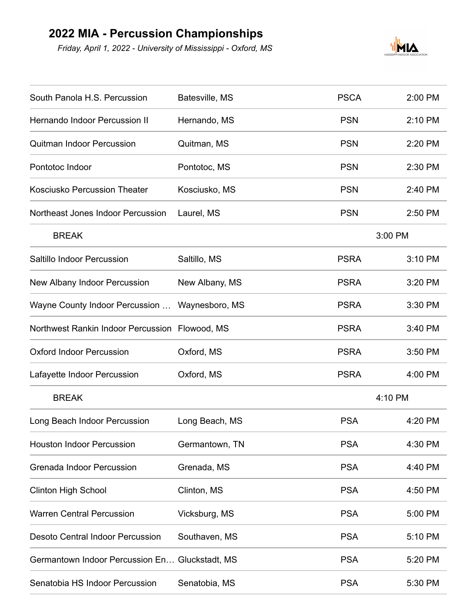## **2022 MIA - Percussion Championships**

*Friday, April 1, 2022 - University of Mississippi - Oxford, MS*



| South Panola H.S. Percussion                   | Batesville, MS | <b>PSCA</b> | 2:00 PM |
|------------------------------------------------|----------------|-------------|---------|
| <b>Hernando Indoor Percussion II</b>           | Hernando, MS   | <b>PSN</b>  | 2:10 PM |
| <b>Quitman Indoor Percussion</b>               | Quitman, MS    | <b>PSN</b>  | 2:20 PM |
| Pontotoc Indoor                                | Pontotoc, MS   | <b>PSN</b>  | 2:30 PM |
| <b>Kosciusko Percussion Theater</b>            | Kosciusko, MS  | <b>PSN</b>  | 2:40 PM |
| Northeast Jones Indoor Percussion              | Laurel, MS     | <b>PSN</b>  | 2:50 PM |
| <b>BREAK</b>                                   |                | 3:00 PM     |         |
| Saltillo Indoor Percussion                     | Saltillo, MS   | <b>PSRA</b> | 3:10 PM |
| New Albany Indoor Percussion                   | New Albany, MS | <b>PSRA</b> | 3:20 PM |
| Wayne County Indoor Percussion                 | Waynesboro, MS | <b>PSRA</b> | 3:30 PM |
| Northwest Rankin Indoor Percussion Flowood, MS |                | <b>PSRA</b> | 3:40 PM |
| <b>Oxford Indoor Percussion</b>                | Oxford, MS     | <b>PSRA</b> | 3:50 PM |
| Lafayette Indoor Percussion                    | Oxford, MS     | <b>PSRA</b> | 4:00 PM |
| <b>BREAK</b>                                   |                | 4:10 PM     |         |
| Long Beach Indoor Percussion                   | Long Beach, MS | <b>PSA</b>  | 4:20 PM |
| <b>Houston Indoor Percussion</b>               | Germantown, TN | <b>PSA</b>  | 4:30 PM |
| Grenada Indoor Percussion                      | Grenada, MS    | <b>PSA</b>  | 4:40 PM |
| <b>Clinton High School</b>                     | Clinton, MS    | <b>PSA</b>  | 4:50 PM |
| <b>Warren Central Percussion</b>               | Vicksburg, MS  | <b>PSA</b>  | 5:00 PM |
| <b>Desoto Central Indoor Percussion</b>        | Southaven, MS  | <b>PSA</b>  | 5:10 PM |
| Germantown Indoor Percussion En Gluckstadt, MS |                | <b>PSA</b>  | 5:20 PM |
| Senatobia HS Indoor Percussion                 | Senatobia, MS  | <b>PSA</b>  | 5:30 PM |